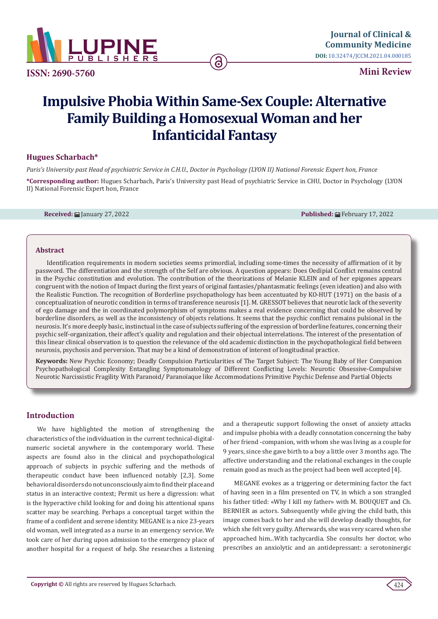

**ISSN: 2690-5760**

**Mini Review** 

# **Impulsive Phobia Within Same-Sex Couple: Alternative Family Building a Homosexual Woman and her Infanticidal Fantasy**

ခြ

## **Hugues Scharbach\***

*Paris's University past Head of psychiatric Service in C.H.U., Doctor in Psychology (LYON II) National Forensic Expert hon, France*

**\*Corresponding author:** Hugues Scharbach, Paris's University past Head of psychiatric Service in CHU, Doctor in Psychology (LYON II) National Forensic Expert hon, France

**Received:** January 27, 2022 **Published:** February 17, 2022

### **Abstract**

Identification requirements in modern societies seems primordial, including some-times the necessity of affirmation of it by password. The differentiation and the strength of the Self are obvious. A question appears: Does Oedipial Conflict remains central in the Psychic constitution and evolution. The contribution of the theorizations of Melanie KLEIN and of her epigones appears congruent with the notion of Impact during the first years of original fantasies/phantasmatic feelings (even ideation) and also with the Realistic Function. The recognition of Borderline psychopathology has been accentuated by KO-HUT (1971) on the basis of a conceptualization of neurotic condition in terms of transference neurosis [1]. M. GRESSOT believes that neurotic lack of the severity of ego damage and the in coordinated polymorphism of symptoms makes a real evidence concerning that could be observed by borderline disorders, as well as the inconsistency of objects relations. It seems that the psychic conflict remains pulsional in the neurosis. It's more deeply basic, instinctual in the case of subjects suffering of the expression of borderline features, concerning their psychic self-organization, their affect's quality and regulation and their objectual interrelations. The interest of the presentation of this linear clinical observation is to question the relevance of the old academic distinction in the psychopathological field between neurosis, psychosis and perversion. That may be a kind of demonstration of interest of longitudinal practice.

**Keywords:** New Psychic Economy; Deadly Compulsion Particularities of The Target Subject: The Young Baby of Her Companion Psychopathological Complexity Entangling Symptomatology of Different Conflicting Levels: Neurotic Obsessive-Compulsive Neurotic Narcissistic Fragility With Paranoid/ Paranoïaque like Accommodations Primitive Psychic Defense and Partial Objects

## **Introduction**

We have highlighted the motion of strengthening the characteristics of the individuation in the current technical-digitalnumeric societal anywhere in the contemporary world. These aspects are found also in the clinical and psychopathological approach of subjects in psychic suffering and the methods of therapeutic conduct have been influenced notably [2,3]. Some behavioral disorders do not unconsciously aim to find their place and status in an interactive context; Permit us here a digression: what is the hyperactive child looking for and doing his attentional spans scatter may be searching. Perhaps a conceptual target within the frame of a confident and serene identity. MEGANE is a nice 23-years old woman, well integrated as a nurse in an emergency service. We took care of her during upon admission to the emergency place of another hospital for a request of help. She researches a listening

and a therapeutic support following the onset of anxiety attacks and impulse phobia with a deadly connotation concerning the baby of her friend -companion, with whom she was living as a couple for 9 years, since she gave birth to a boy a little over 3 months ago. The affective understanding and the relational exchanges in the couple remain good as much as the project had been well accepted [4].

MEGANE evokes as a triggering or determining factor the fact of having seen in a film presented on TV, in which a son strangled his father titled: «Why I kill my father» with M. BOUQUET and Ch. BERNIER as actors. Subsequently while giving the child bath, this image comes back to her and she will develop deadly thoughts, for which she felt very guilty. Afterwards, she was very scared when she approached him...With tachycardia. She consults her doctor, who prescribes an anxiolytic and an antidepressant: a serotoninergic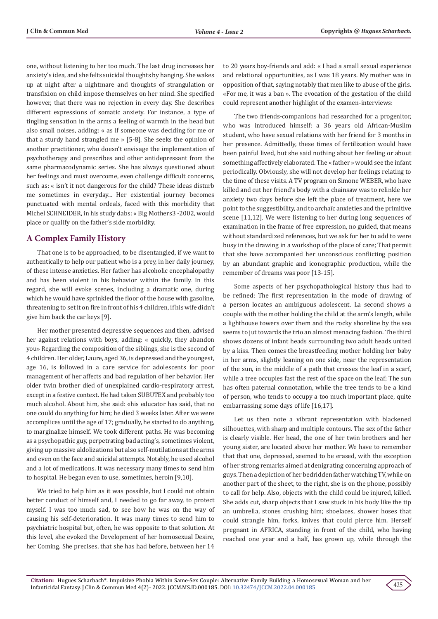one, without listening to her too much. The last drug increases her anxiety's idea, and she felts suicidal thoughts by hanging. She wakes up at night after a nightmare and thoughts of strangulation or transfixion on child impose themselves on her mind. She specified however, that there was no rejection in every day. She describes different expressions of somatic anxiety. For instance, a type of tingling sensation in the arms a feeling of warmth in the head but also small noises, adding: « as if someone was deciding for me or that a sturdy hand strangled me » [5-8]. She seeks the opinion of another practitioner, who doesn't envisage the implementation of psychotherapy and prescribes and other antidepressant from the same pharmacodynamic series. She has always questioned about her feelings and must overcome, even challenge difficult concerns, such as: « isn't it not dangerous for the child? These ideas disturb me sometimes in everyday... Her existential journey becomes punctuated with mental ordeals, faced with this morbidity that Michel SCHNEIDER, in his study dabs: « Big Mothers3 -2002, would place or qualify on the father's side morbidity.

## **A Complex Family History**

That one is to be approached, to be disentangled, if we want to authentically to help our patient who is a prey, in her daily journey, of these intense anxieties. Her father has alcoholic encephalopathy and has been violent in his behavior within the family. In this regard, she will evoke scenes, including a dramatic one, during which he would have sprinkled the floor of the house with gasoline, threatening to set it on fire in front of his 4 children, if his wife didn't give him back the car keys [9].

Her mother presented depressive sequences and then, advised her against relations with boys, adding: « quickly, they abandon you» Regarding the composition of the siblings, she is the second of 4 children. Her older, Laure, aged 36, is depressed and the youngest, age 16, is followed in a care service for adolescents for poor management of her affects and bad regulation of her behavior. Her older twin brother died of unexplained cardio-respiratory arrest, except in a festive context. He had taken SUBUTEX and probably too much alcohol. About him, she said: «his educator has said, that no one could do anything for him; he died 3 weeks later. After we were accomplices until the age of 17; gradually, he started to do anything, to marginalize himself. We took different paths. He was becoming as a psychopathic guy, perpetrating bad acting's, sometimes violent, giving up massive aldolizations but also self-mutilations at the arms and even on the face and suicidal attempts. Notably, he used alcohol and a lot of medications. It was necessary many times to send him to hospital. He began even to use, sometimes, heroin [9,10].

We tried to help him as it was possible, but I could not obtain better conduct of himself and, I needed to go far away, to protect myself. I was too much sad, to see how he was on the way of causing his self-deterioration. It was many times to send him to psychiatric hospital but, often, he was opposite to that solution. At this level, she evoked the Development of her homosexual Desire, her Coming. She precises, that she has had before, between her 14

to 20 years boy-friends and add: « I had a small sexual experience and relational opportunities, as I was 18 years. My mother was in opposition of that, saying notably that men like to abuse of the girls. «For me, it was a ban ». The evocation of the gestation of the child could represent another highlight of the examen-interviews:

The two friends-companions had researched for a progenitor, who was introduced himself: a 36 years old African-Muslim student, who have sexual relations with her friend for 3 months in her presence. Admittedly, these times of fertilization would have been painful lived, but she said nothing about her feeling or about something affectively elaborated. The « father » would see the infant periodically. Obviously, she will not develop her feelings relating to the time of these visits. A TV program on Simone WEBER, who have killed and cut her friend's body with a chainsaw was to relinkle her anxiety two days before she left the place of treatment, here we point to the suggestibility, and to archaïc anxieties and the primitive scene [11,12]. We were listening to her during long sequences of examination in the frame of free expression, no guided, that means without standardized references, but we ask for her to add to were busy in the drawing in a workshop of the place of care; That permit that she have accompanied her unconscious conflicting position by an abundant graphic and iconographic production, while the remember of dreams was poor [13-15].

Some aspects of her psychopathological history thus had to be refined: The first representation in the mode of drawing of a person locates an ambiguous adolescent. La second shows a couple with the mother holding the child at the arm's length, while a lighthouse towers over them and the rocky shoreline by the sea seems to jut towards the trio an almost menacing fashion. The third shows dozens of infant heads surrounding two adult heads united by a kiss. Then comes the breastfeeding mother holding her baby in her arms, slightly leaning on one side, near the representation of the sun, in the middle of a path that crosses the leaf in a scarf, while a tree occupies fast the rest of the space on the leaf; The sun has often paternal connotation, while the tree tends to be a kind of person, who tends to occupy a too much important place, quite embarrassing some days of life [16,17].

Let us then note a vibrant representation with blackened silhouettes, with sharp and multiple contours. The sex of the father is clearly visible. Her head, the one of her twin brothers and her young sister, are located above her mother. We have to remember that that one, depressed, seemed to be erased, with the exception of her strong remarks aimed at denigrating concerning approach of guys. Then a depiction of her bedridden father watching TV, while on another part of the sheet, to the right, she is on the phone, possibly to call for help. Also, objects with the child could be injured, killed. She adds cut, sharp objects that I saw stuck in his body like the tip an umbrella, stones crushing him; shoelaces, shower hoses that could strangle him, forks, knives that could pierce him. Herself pregnant in AFRICA, standing in front of the child, who having reached one year and a half, has grown up, while through the